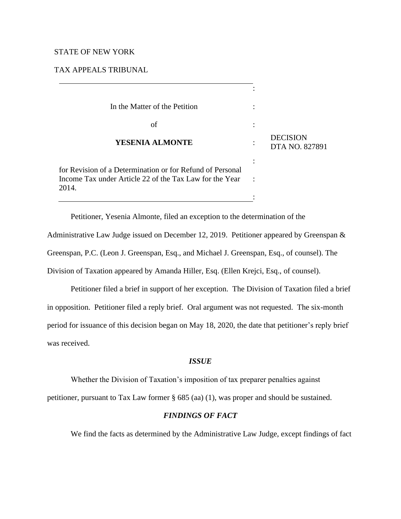## STATE OF NEW YORK

TAX APPEALS TRIBUNAL

| In the Matter of the Petition                                                                                                 |                                   |
|-------------------------------------------------------------------------------------------------------------------------------|-----------------------------------|
| of                                                                                                                            |                                   |
| <b>YESENIA ALMONTE</b>                                                                                                        | <b>DECISION</b><br>DTA NO. 827891 |
| for Revision of a Determination or for Refund of Personal<br>Income Tax under Article 22 of the Tax Law for the Year<br>2014. |                                   |
|                                                                                                                               |                                   |

Petitioner, Yesenia Almonte, filed an exception to the determination of the Administrative Law Judge issued on December 12, 2019. Petitioner appeared by Greenspan & Greenspan, P.C. (Leon J. Greenspan, Esq., and Michael J. Greenspan, Esq., of counsel). The Division of Taxation appeared by Amanda Hiller, Esq. (Ellen Krejci, Esq., of counsel).

Petitioner filed a brief in support of her exception. The Division of Taxation filed a brief in opposition. Petitioner filed a reply brief. Oral argument was not requested. The six-month period for issuance of this decision began on May 18, 2020, the date that petitioner's reply brief was received.

# *ISSUE*

Whether the Division of Taxation's imposition of tax preparer penalties against

petitioner, pursuant to Tax Law former § 685 (aa) (1), was proper and should be sustained.

# *FINDINGS OF FACT*

We find the facts as determined by the Administrative Law Judge, except findings of fact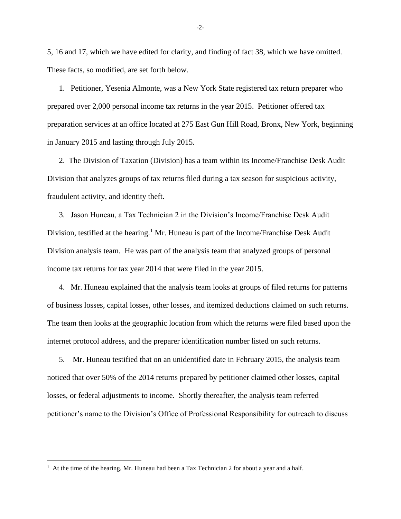5, 16 and 17, which we have edited for clarity, and finding of fact 38, which we have omitted. These facts, so modified, are set forth below.

1. Petitioner, Yesenia Almonte, was a New York State registered tax return preparer who prepared over 2,000 personal income tax returns in the year 2015. Petitioner offered tax preparation services at an office located at 275 East Gun Hill Road, Bronx, New York, beginning in January 2015 and lasting through July 2015.

2. The Division of Taxation (Division) has a team within its Income/Franchise Desk Audit Division that analyzes groups of tax returns filed during a tax season for suspicious activity, fraudulent activity, and identity theft.

3. Jason Huneau, a Tax Technician 2 in the Division's Income/Franchise Desk Audit Division, testified at the hearing.<sup>1</sup> Mr. Huneau is part of the Income/Franchise Desk Audit Division analysis team. He was part of the analysis team that analyzed groups of personal income tax returns for tax year 2014 that were filed in the year 2015.

4. Mr. Huneau explained that the analysis team looks at groups of filed returns for patterns of business losses, capital losses, other losses, and itemized deductions claimed on such returns. The team then looks at the geographic location from which the returns were filed based upon the internet protocol address, and the preparer identification number listed on such returns.

5. Mr. Huneau testified that on an unidentified date in February 2015, the analysis team noticed that over 50% of the 2014 returns prepared by petitioner claimed other losses, capital losses, or federal adjustments to income. Shortly thereafter, the analysis team referred petitioner's name to the Division's Office of Professional Responsibility for outreach to discuss

 $<sup>1</sup>$  At the time of the hearing, Mr. Huneau had been a Tax Technician 2 for about a year and a half.</sup>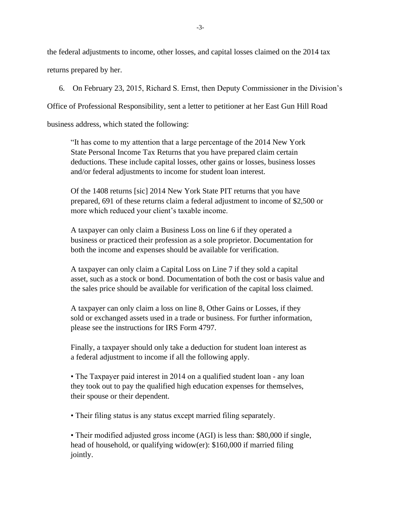the federal adjustments to income, other losses, and capital losses claimed on the 2014 tax returns prepared by her.

6. On February 23, 2015, Richard S. Ernst, then Deputy Commissioner in the Division's

Office of Professional Responsibility, sent a letter to petitioner at her East Gun Hill Road

business address, which stated the following:

"It has come to my attention that a large percentage of the 2014 New York State Personal Income Tax Returns that you have prepared claim certain deductions. These include capital losses, other gains or losses, business losses and/or federal adjustments to income for student loan interest.

Of the 1408 returns [sic] 2014 New York State PIT returns that you have prepared, 691 of these returns claim a federal adjustment to income of \$2,500 or more which reduced your client's taxable income.

A taxpayer can only claim a Business Loss on line 6 if they operated a business or practiced their profession as a sole proprietor. Documentation for both the income and expenses should be available for verification.

A taxpayer can only claim a Capital Loss on Line 7 if they sold a capital asset, such as a stock or bond. Documentation of both the cost or basis value and the sales price should be available for verification of the capital loss claimed.

A taxpayer can only claim a loss on line 8, Other Gains or Losses, if they sold or exchanged assets used in a trade or business. For further information, please see the instructions for IRS Form 4797.

Finally, a taxpayer should only take a deduction for student loan interest as a federal adjustment to income if all the following apply.

• The Taxpayer paid interest in 2014 on a qualified student loan - any loan they took out to pay the qualified high education expenses for themselves, their spouse or their dependent.

• Their filing status is any status except married filing separately.

• Their modified adjusted gross income (AGI) is less than: \$80,000 if single, head of household, or qualifying widow(er): \$160,000 if married filing jointly.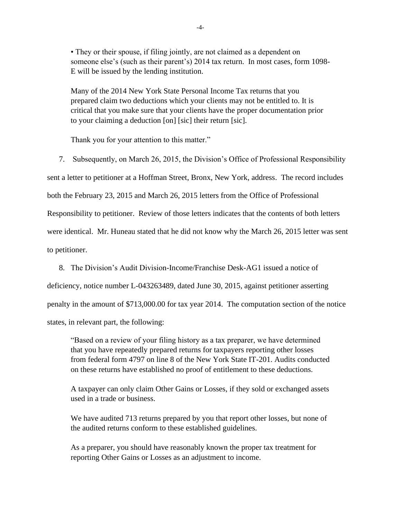• They or their spouse, if filing jointly, are not claimed as a dependent on someone else's (such as their parent's) 2014 tax return. In most cases, form 1098- E will be issued by the lending institution.

Many of the 2014 New York State Personal Income Tax returns that you prepared claim two deductions which your clients may not be entitled to. It is critical that you make sure that your clients have the proper documentation prior to your claiming a deduction [on] [sic] their return [sic].

Thank you for your attention to this matter."

7. Subsequently, on March 26, 2015, the Division's Office of Professional Responsibility

sent a letter to petitioner at a Hoffman Street, Bronx, New York, address. The record includes

both the February 23, 2015 and March 26, 2015 letters from the Office of Professional

Responsibility to petitioner. Review of those letters indicates that the contents of both letters

were identical. Mr. Huneau stated that he did not know why the March 26, 2015 letter was sent to petitioner.

8. The Division's Audit Division-Income/Franchise Desk-AG1 issued a notice of

deficiency, notice number L-043263489, dated June 30, 2015, against petitioner asserting

penalty in the amount of \$713,000.00 for tax year 2014. The computation section of the notice

states, in relevant part, the following:

"Based on a review of your filing history as a tax preparer, we have determined that you have repeatedly prepared returns for taxpayers reporting other losses from federal form 4797 on line 8 of the New York State IT-201. Audits conducted on these returns have established no proof of entitlement to these deductions.

A taxpayer can only claim Other Gains or Losses, if they sold or exchanged assets used in a trade or business.

We have audited 713 returns prepared by you that report other losses, but none of the audited returns conform to these established guidelines.

As a preparer, you should have reasonably known the proper tax treatment for reporting Other Gains or Losses as an adjustment to income.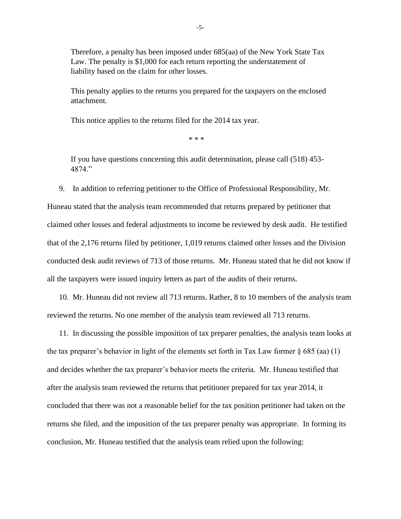Therefore, a penalty has been imposed under 685(aa) of the New York State Tax Law. The penalty is \$1,000 for each return reporting the understatement of liability based on the claim for other losses.

This penalty applies to the returns you prepared for the taxpayers on the enclosed attachment.

This notice applies to the returns filed for the 2014 tax year.

\* \* \*

If you have questions concerning this audit determination, please call (518) 453- 4874."

9. In addition to referring petitioner to the Office of Professional Responsibility, Mr.

Huneau stated that the analysis team recommended that returns prepared by petitioner that claimed other losses and federal adjustments to income be reviewed by desk audit. He testified that of the 2,176 returns filed by petitioner, 1,019 returns claimed other losses and the Division conducted desk audit reviews of 713 of those returns. Mr. Huneau stated that he did not know if all the taxpayers were issued inquiry letters as part of the audits of their returns.

10. Mr. Huneau did not review all 713 returns. Rather, 8 to 10 members of the analysis team reviewed the returns. No one member of the analysis team reviewed all 713 returns.

11. In discussing the possible imposition of tax preparer penalties, the analysis team looks at the tax preparer's behavior in light of the elements set forth in Tax Law former  $\S 685$  (aa) (1) and decides whether the tax preparer's behavior meets the criteria. Mr. Huneau testified that after the analysis team reviewed the returns that petitioner prepared for tax year 2014, it concluded that there was not a reasonable belief for the tax position petitioner had taken on the returns she filed, and the imposition of the tax preparer penalty was appropriate. In forming its conclusion, Mr. Huneau testified that the analysis team relied upon the following: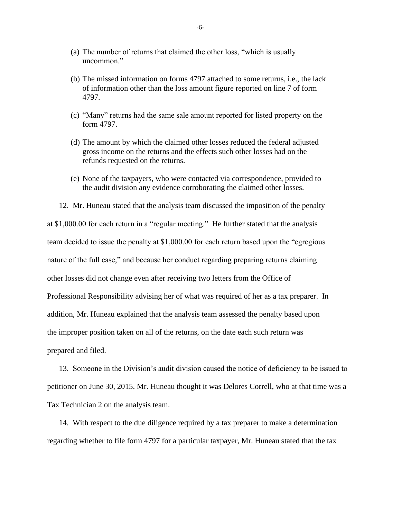- (a) The number of returns that claimed the other loss, "which is usually uncommon."
- (b) The missed information on forms 4797 attached to some returns, i.e., the lack of information other than the loss amount figure reported on line 7 of form 4797.
- (c) "Many" returns had the same sale amount reported for listed property on the form 4797.
- (d) The amount by which the claimed other losses reduced the federal adjusted gross income on the returns and the effects such other losses had on the refunds requested on the returns.
- (e) None of the taxpayers, who were contacted via correspondence, provided to the audit division any evidence corroborating the claimed other losses.

12. Mr. Huneau stated that the analysis team discussed the imposition of the penalty at \$1,000.00 for each return in a "regular meeting." He further stated that the analysis team decided to issue the penalty at \$1,000.00 for each return based upon the "egregious nature of the full case," and because her conduct regarding preparing returns claiming other losses did not change even after receiving two letters from the Office of Professional Responsibility advising her of what was required of her as a tax preparer. In addition, Mr. Huneau explained that the analysis team assessed the penalty based upon the improper position taken on all of the returns, on the date each such return was prepared and filed.

13. Someone in the Division's audit division caused the notice of deficiency to be issued to petitioner on June 30, 2015. Mr. Huneau thought it was Delores Correll, who at that time was a Tax Technician 2 on the analysis team.

14. With respect to the due diligence required by a tax preparer to make a determination regarding whether to file form 4797 for a particular taxpayer, Mr. Huneau stated that the tax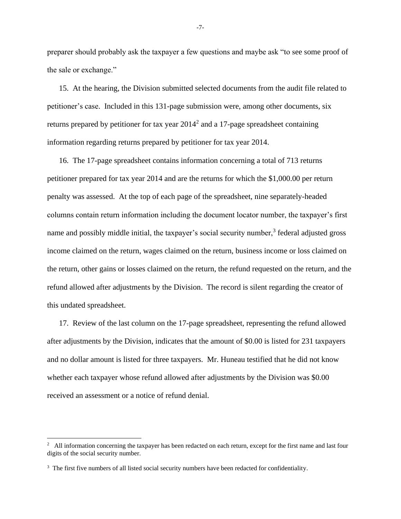preparer should probably ask the taxpayer a few questions and maybe ask "to see some proof of the sale or exchange."

15. At the hearing, the Division submitted selected documents from the audit file related to petitioner's case. Included in this 131-page submission were, among other documents, six returns prepared by petitioner for tax year  $2014<sup>2</sup>$  and a 17-page spreadsheet containing information regarding returns prepared by petitioner for tax year 2014.

16. The 17-page spreadsheet contains information concerning a total of 713 returns petitioner prepared for tax year 2014 and are the returns for which the \$1,000.00 per return penalty was assessed. At the top of each page of the spreadsheet, nine separately-headed columns contain return information including the document locator number, the taxpayer's first name and possibly middle initial, the taxpayer's social security number, $3$  federal adjusted gross income claimed on the return, wages claimed on the return, business income or loss claimed on the return, other gains or losses claimed on the return, the refund requested on the return, and the refund allowed after adjustments by the Division. The record is silent regarding the creator of this undated spreadsheet.

17. Review of the last column on the 17-page spreadsheet, representing the refund allowed after adjustments by the Division, indicates that the amount of \$0.00 is listed for 231 taxpayers and no dollar amount is listed for three taxpayers. Mr. Huneau testified that he did not know whether each taxpayer whose refund allowed after adjustments by the Division was \$0.00 received an assessment or a notice of refund denial.

-7-

 $2$  All information concerning the taxpayer has been redacted on each return, except for the first name and last four digits of the social security number.

<sup>&</sup>lt;sup>3</sup> The first five numbers of all listed social security numbers have been redacted for confidentiality.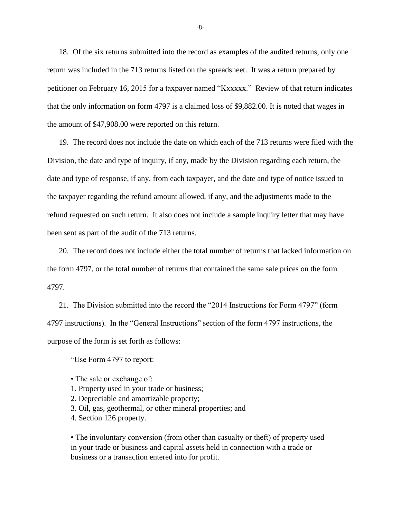18. Of the six returns submitted into the record as examples of the audited returns, only one return was included in the 713 returns listed on the spreadsheet. It was a return prepared by petitioner on February 16, 2015 for a taxpayer named "Kxxxxx." Review of that return indicates that the only information on form 4797 is a claimed loss of \$9,882.00. It is noted that wages in the amount of \$47,908.00 were reported on this return.

19. The record does not include the date on which each of the 713 returns were filed with the Division, the date and type of inquiry, if any, made by the Division regarding each return, the date and type of response, if any, from each taxpayer, and the date and type of notice issued to the taxpayer regarding the refund amount allowed, if any, and the adjustments made to the refund requested on such return. It also does not include a sample inquiry letter that may have been sent as part of the audit of the 713 returns.

20. The record does not include either the total number of returns that lacked information on the form 4797, or the total number of returns that contained the same sale prices on the form 4797.

21. The Division submitted into the record the "2014 Instructions for Form 4797" (form 4797 instructions). In the "General Instructions" section of the form 4797 instructions, the purpose of the form is set forth as follows:

"Use Form 4797 to report:

- The sale or exchange of:
- 1. Property used in your trade or business;
- 2. Depreciable and amortizable property;
- 3. Oil, gas, geothermal, or other mineral properties; and
- 4. Section 126 property.

• The involuntary conversion (from other than casualty or theft) of property used in your trade or business and capital assets held in connection with a trade or business or a transaction entered into for profit.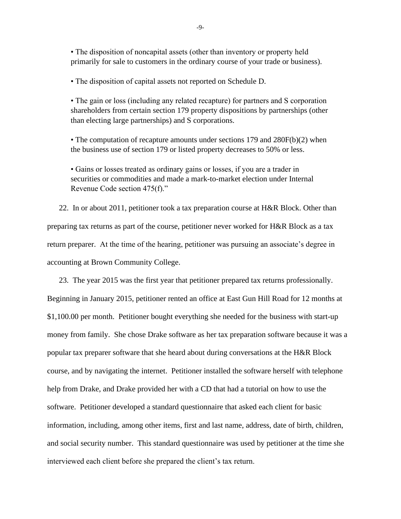• The disposition of noncapital assets (other than inventory or property held primarily for sale to customers in the ordinary course of your trade or business).

• The disposition of capital assets not reported on Schedule D.

• The gain or loss (including any related recapture) for partners and S corporation shareholders from certain section 179 property dispositions by partnerships (other than electing large partnerships) and S corporations.

• The computation of recapture amounts under sections 179 and 280F(b)(2) when the business use of section 179 or listed property decreases to 50% or less.

• Gains or losses treated as ordinary gains or losses, if you are a trader in securities or commodities and made a mark-to-market election under Internal Revenue Code section 475(f)."

22. In or about 2011, petitioner took a tax preparation course at H&R Block. Other than preparing tax returns as part of the course, petitioner never worked for H&R Block as a tax return preparer. At the time of the hearing, petitioner was pursuing an associate's degree in accounting at Brown Community College.

23. The year 2015 was the first year that petitioner prepared tax returns professionally. Beginning in January 2015, petitioner rented an office at East Gun Hill Road for 12 months at \$1,100.00 per month. Petitioner bought everything she needed for the business with start-up money from family. She chose Drake software as her tax preparation software because it was a popular tax preparer software that she heard about during conversations at the H&R Block course, and by navigating the internet. Petitioner installed the software herself with telephone help from Drake, and Drake provided her with a CD that had a tutorial on how to use the software. Petitioner developed a standard questionnaire that asked each client for basic information, including, among other items, first and last name, address, date of birth, children, and social security number. This standard questionnaire was used by petitioner at the time she interviewed each client before she prepared the client's tax return.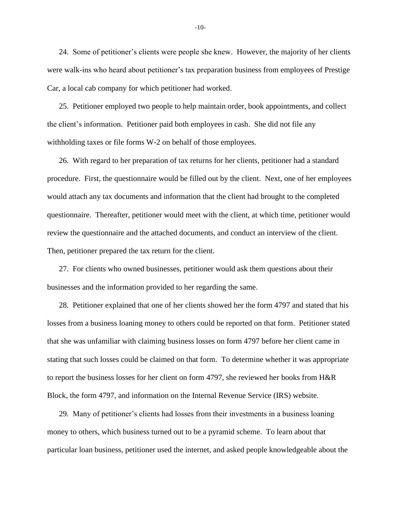24. Some of petitioner's clients were people she knew. However, the majority of her clients were walk-ins who heard about petitioner's tax preparation business from employees of Prestige Car, a local cab company for which petitioner had worked.

25. Petitioner employed two people to help maintain order, book appointments, and collect the client's information. Petitioner paid both employees in cash. She did not file any withholding taxes or file forms W-2 on behalf of those employees.

26. With regard to her preparation of tax returns for her clients, petitioner had a standard procedure. First, the questionnaire would be filled out by the client. Next, one of her employees would attach any tax documents and information that the client had brought to the completed questionnaire. Thereafter, petitioner would meet with the client, at which time, petitioner would review the questionnaire and the attached documents, and conduct an interview of the client. Then, petitioner prepared the tax return for the client.

27. For clients who owned businesses, petitioner would ask them questions about their businesses and the information provided to her regarding the same.

28. Petitioner explained that one of her clients showed her the form 4797 and stated that his losses from a business loaning money to others could be reported on that form. Petitioner stated that she was unfamiliar with claiming business losses on form 4797 before her client came in stating that such losses could be claimed on that form. To determine whether it was appropriate to report the business losses for her client on form 4797, she reviewed her books from H&R Block, the form 4797, and information on the Internal Revenue Service (IRS) website.

29. Many of petitioner's clients had losses from their investments in a business loaning money to others, which business turned out to be a pyramid scheme. To learn about that particular loan business, petitioner used the internet, and asked people knowledgeable about the

-10-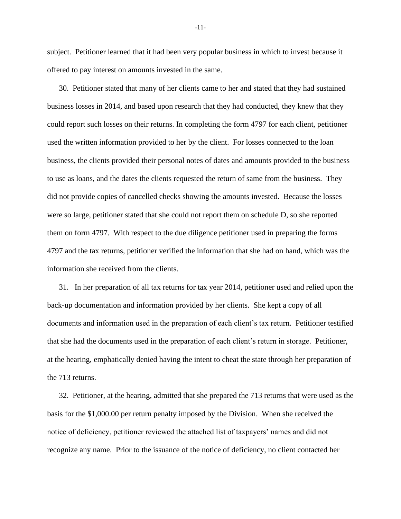subject. Petitioner learned that it had been very popular business in which to invest because it offered to pay interest on amounts invested in the same.

30. Petitioner stated that many of her clients came to her and stated that they had sustained business losses in 2014, and based upon research that they had conducted, they knew that they could report such losses on their returns. In completing the form 4797 for each client, petitioner used the written information provided to her by the client. For losses connected to the loan business, the clients provided their personal notes of dates and amounts provided to the business to use as loans, and the dates the clients requested the return of same from the business. They did not provide copies of cancelled checks showing the amounts invested. Because the losses were so large, petitioner stated that she could not report them on schedule D, so she reported them on form 4797. With respect to the due diligence petitioner used in preparing the forms 4797 and the tax returns, petitioner verified the information that she had on hand, which was the information she received from the clients.

31. In her preparation of all tax returns for tax year 2014, petitioner used and relied upon the back-up documentation and information provided by her clients. She kept a copy of all documents and information used in the preparation of each client's tax return. Petitioner testified that she had the documents used in the preparation of each client's return in storage. Petitioner, at the hearing, emphatically denied having the intent to cheat the state through her preparation of the 713 returns.

32. Petitioner, at the hearing, admitted that she prepared the 713 returns that were used as the basis for the \$1,000.00 per return penalty imposed by the Division. When she received the notice of deficiency, petitioner reviewed the attached list of taxpayers' names and did not recognize any name. Prior to the issuance of the notice of deficiency, no client contacted her

-11-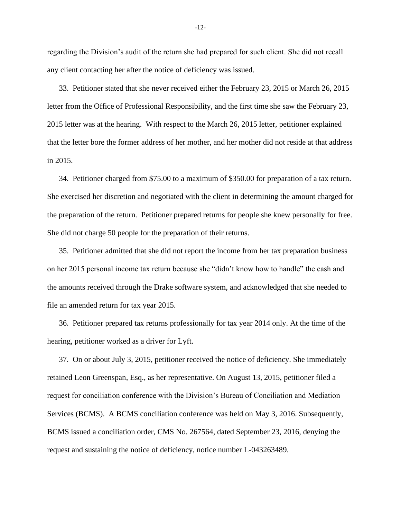regarding the Division's audit of the return she had prepared for such client. She did not recall any client contacting her after the notice of deficiency was issued.

33. Petitioner stated that she never received either the February 23, 2015 or March 26, 2015 letter from the Office of Professional Responsibility, and the first time she saw the February 23, 2015 letter was at the hearing. With respect to the March 26, 2015 letter, petitioner explained that the letter bore the former address of her mother, and her mother did not reside at that address in 2015.

34. Petitioner charged from \$75.00 to a maximum of \$350.00 for preparation of a tax return. She exercised her discretion and negotiated with the client in determining the amount charged for the preparation of the return. Petitioner prepared returns for people she knew personally for free. She did not charge 50 people for the preparation of their returns.

35. Petitioner admitted that she did not report the income from her tax preparation business on her 2015 personal income tax return because she "didn't know how to handle" the cash and the amounts received through the Drake software system, and acknowledged that she needed to file an amended return for tax year 2015.

36. Petitioner prepared tax returns professionally for tax year 2014 only. At the time of the hearing, petitioner worked as a driver for Lyft.

37. On or about July 3, 2015, petitioner received the notice of deficiency. She immediately retained Leon Greenspan, Esq., as her representative. On August 13, 2015, petitioner filed a request for conciliation conference with the Division's Bureau of Conciliation and Mediation Services (BCMS). A BCMS conciliation conference was held on May 3, 2016. Subsequently, BCMS issued a conciliation order, CMS No. 267564, dated September 23, 2016, denying the request and sustaining the notice of deficiency, notice number L-043263489.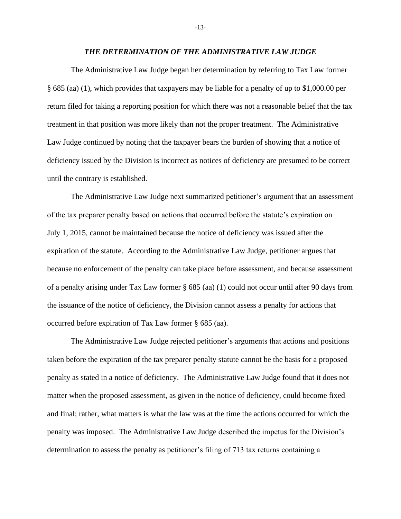#### *THE DETERMINATION OF THE ADMINISTRATIVE LAW JUDGE*

The Administrative Law Judge began her determination by referring to Tax Law former § 685 (aa) (1), which provides that taxpayers may be liable for a penalty of up to \$1,000.00 per return filed for taking a reporting position for which there was not a reasonable belief that the tax treatment in that position was more likely than not the proper treatment. The Administrative Law Judge continued by noting that the taxpayer bears the burden of showing that a notice of deficiency issued by the Division is incorrect as notices of deficiency are presumed to be correct until the contrary is established.

The Administrative Law Judge next summarized petitioner's argument that an assessment of the tax preparer penalty based on actions that occurred before the statute's expiration on July 1, 2015, cannot be maintained because the notice of deficiency was issued after the expiration of the statute. According to the Administrative Law Judge, petitioner argues that because no enforcement of the penalty can take place before assessment, and because assessment of a penalty arising under Tax Law former § 685 (aa) (1) could not occur until after 90 days from the issuance of the notice of deficiency, the Division cannot assess a penalty for actions that occurred before expiration of Tax Law former § 685 (aa).

The Administrative Law Judge rejected petitioner's arguments that actions and positions taken before the expiration of the tax preparer penalty statute cannot be the basis for a proposed penalty as stated in a notice of deficiency. The Administrative Law Judge found that it does not matter when the proposed assessment, as given in the notice of deficiency, could become fixed and final; rather, what matters is what the law was at the time the actions occurred for which the penalty was imposed. The Administrative Law Judge described the impetus for the Division's determination to assess the penalty as petitioner's filing of 713 tax returns containing a

-13-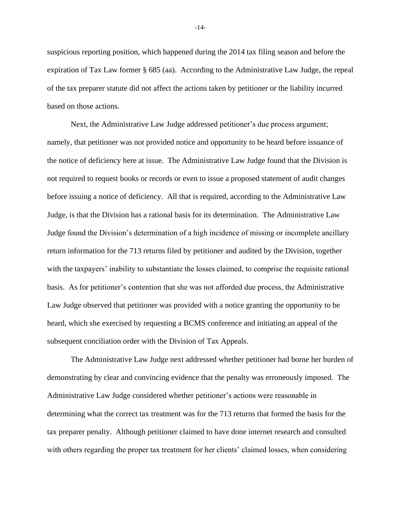suspicious reporting position, which happened during the 2014 tax filing season and before the expiration of Tax Law former § 685 (aa). According to the Administrative Law Judge, the repeal of the tax preparer statute did not affect the actions taken by petitioner or the liability incurred based on those actions.

Next, the Administrative Law Judge addressed petitioner's due process argument; namely, that petitioner was not provided notice and opportunity to be heard before issuance of the notice of deficiency here at issue. The Administrative Law Judge found that the Division is not required to request books or records or even to issue a proposed statement of audit changes before issuing a notice of deficiency. All that is required, according to the Administrative Law Judge, is that the Division has a rational basis for its determination. The Administrative Law Judge found the Division's determination of a high incidence of missing or incomplete ancillary return information for the 713 returns filed by petitioner and audited by the Division, together with the taxpayers' inability to substantiate the losses claimed, to comprise the requisite rational basis. As for petitioner's contention that she was not afforded due process, the Administrative Law Judge observed that petitioner was provided with a notice granting the opportunity to be heard, which she exercised by requesting a BCMS conference and initiating an appeal of the subsequent conciliation order with the Division of Tax Appeals.

The Administrative Law Judge next addressed whether petitioner had borne her burden of demonstrating by clear and convincing evidence that the penalty was erroneously imposed. The Administrative Law Judge considered whether petitioner's actions were reasonable in determining what the correct tax treatment was for the 713 returns that formed the basis for the tax preparer penalty. Although petitioner claimed to have done internet research and consulted with others regarding the proper tax treatment for her clients' claimed losses, when considering

-14-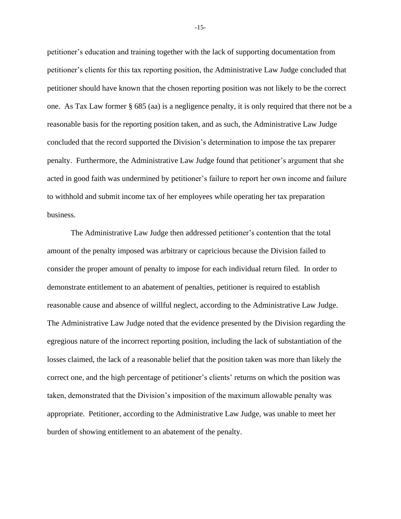petitioner's education and training together with the lack of supporting documentation from petitioner's clients for this tax reporting position, the Administrative Law Judge concluded that petitioner should have known that the chosen reporting position was not likely to be the correct one. As Tax Law former § 685 (aa) is a negligence penalty, it is only required that there not be a reasonable basis for the reporting position taken, and as such, the Administrative Law Judge concluded that the record supported the Division's determination to impose the tax preparer penalty. Furthermore, the Administrative Law Judge found that petitioner's argument that she acted in good faith was undermined by petitioner's failure to report her own income and failure to withhold and submit income tax of her employees while operating her tax preparation business.

The Administrative Law Judge then addressed petitioner's contention that the total amount of the penalty imposed was arbitrary or capricious because the Division failed to consider the proper amount of penalty to impose for each individual return filed. In order to demonstrate entitlement to an abatement of penalties, petitioner is required to establish reasonable cause and absence of willful neglect, according to the Administrative Law Judge. The Administrative Law Judge noted that the evidence presented by the Division regarding the egregious nature of the incorrect reporting position, including the lack of substantiation of the losses claimed, the lack of a reasonable belief that the position taken was more than likely the correct one, and the high percentage of petitioner's clients' returns on which the position was taken, demonstrated that the Division's imposition of the maximum allowable penalty was appropriate. Petitioner, according to the Administrative Law Judge, was unable to meet her burden of showing entitlement to an abatement of the penalty.

-15-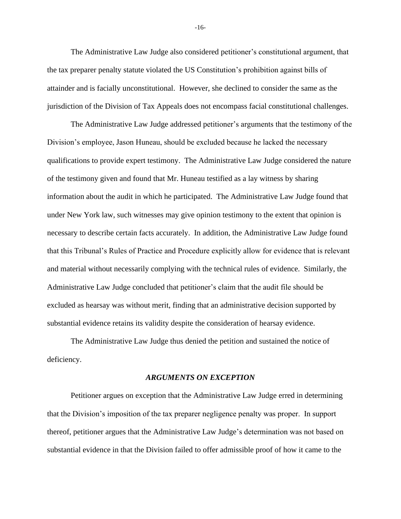The Administrative Law Judge also considered petitioner's constitutional argument, that the tax preparer penalty statute violated the US Constitution's prohibition against bills of attainder and is facially unconstitutional. However, she declined to consider the same as the jurisdiction of the Division of Tax Appeals does not encompass facial constitutional challenges.

The Administrative Law Judge addressed petitioner's arguments that the testimony of the Division's employee, Jason Huneau, should be excluded because he lacked the necessary qualifications to provide expert testimony. The Administrative Law Judge considered the nature of the testimony given and found that Mr. Huneau testified as a lay witness by sharing information about the audit in which he participated. The Administrative Law Judge found that under New York law, such witnesses may give opinion testimony to the extent that opinion is necessary to describe certain facts accurately. In addition, the Administrative Law Judge found that this Tribunal's Rules of Practice and Procedure explicitly allow for evidence that is relevant and material without necessarily complying with the technical rules of evidence. Similarly, the Administrative Law Judge concluded that petitioner's claim that the audit file should be excluded as hearsay was without merit, finding that an administrative decision supported by substantial evidence retains its validity despite the consideration of hearsay evidence.

The Administrative Law Judge thus denied the petition and sustained the notice of deficiency.

#### *ARGUMENTS ON EXCEPTION*

Petitioner argues on exception that the Administrative Law Judge erred in determining that the Division's imposition of the tax preparer negligence penalty was proper. In support thereof, petitioner argues that the Administrative Law Judge's determination was not based on substantial evidence in that the Division failed to offer admissible proof of how it came to the

-16-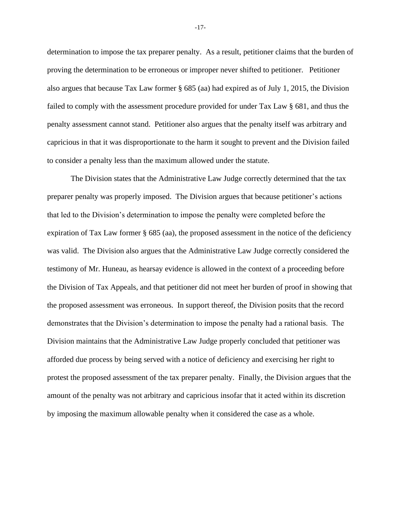determination to impose the tax preparer penalty. As a result, petitioner claims that the burden of proving the determination to be erroneous or improper never shifted to petitioner. Petitioner also argues that because Tax Law former § 685 (aa) had expired as of July 1, 2015, the Division failed to comply with the assessment procedure provided for under Tax Law § 681, and thus the penalty assessment cannot stand. Petitioner also argues that the penalty itself was arbitrary and capricious in that it was disproportionate to the harm it sought to prevent and the Division failed to consider a penalty less than the maximum allowed under the statute.

The Division states that the Administrative Law Judge correctly determined that the tax preparer penalty was properly imposed. The Division argues that because petitioner's actions that led to the Division's determination to impose the penalty were completed before the expiration of Tax Law former § 685 (aa), the proposed assessment in the notice of the deficiency was valid. The Division also argues that the Administrative Law Judge correctly considered the testimony of Mr. Huneau, as hearsay evidence is allowed in the context of a proceeding before the Division of Tax Appeals, and that petitioner did not meet her burden of proof in showing that the proposed assessment was erroneous. In support thereof, the Division posits that the record demonstrates that the Division's determination to impose the penalty had a rational basis. The Division maintains that the Administrative Law Judge properly concluded that petitioner was afforded due process by being served with a notice of deficiency and exercising her right to protest the proposed assessment of the tax preparer penalty. Finally, the Division argues that the amount of the penalty was not arbitrary and capricious insofar that it acted within its discretion by imposing the maximum allowable penalty when it considered the case as a whole.

-17-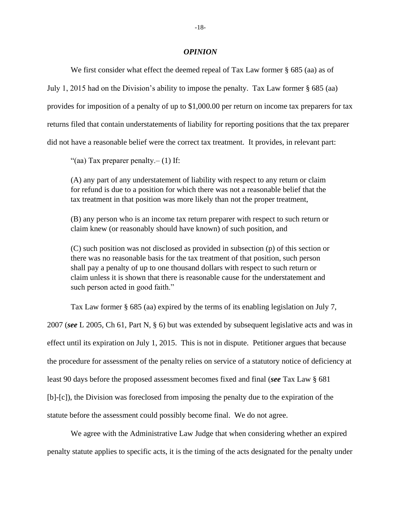#### *OPINION*

We first consider what effect the deemed repeal of Tax Law former § 685 (aa) as of July 1, 2015 had on the Division's ability to impose the penalty. Tax Law former § 685 (aa) provides for imposition of a penalty of up to \$1,000.00 per return on income tax preparers for tax returns filed that contain understatements of liability for reporting positions that the tax preparer did not have a reasonable belief were the correct tax treatment. It provides, in relevant part:

"(aa) Tax preparer penalty. $- (1)$  If:

(A) any part of any understatement of liability with respect to any return or claim for refund is due to a position for which there was not a reasonable belief that the tax treatment in that position was more likely than not the proper treatment,

(B) any person who is an income tax return preparer with respect to such return or claim knew (or reasonably should have known) of such position, and

(C) such position was not disclosed as provided in subsection (p) of this section or there was no reasonable basis for the tax treatment of that position, such person shall pay a penalty of up to one thousand dollars with respect to such return or claim unless it is shown that there is reasonable cause for the understatement and such person acted in good faith."

Tax Law former § 685 (aa) expired by the terms of its enabling legislation on July 7, 2007 (*see* L 2005, Ch 61, Part N, § 6) but was extended by subsequent legislative acts and was in effect until its expiration on July 1, 2015. This is not in dispute. Petitioner argues that because the procedure for assessment of the penalty relies on service of a statutory notice of deficiency at least 90 days before the proposed assessment becomes fixed and final (*see* Tax Law § 681 [b]-[c]), the Division was foreclosed from imposing the penalty due to the expiration of the statute before the assessment could possibly become final. We do not agree.

We agree with the Administrative Law Judge that when considering whether an expired penalty statute applies to specific acts, it is the timing of the acts designated for the penalty under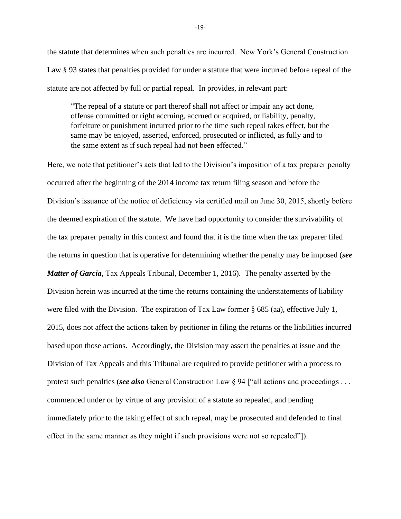the statute that determines when such penalties are incurred. New York's General Construction Law § 93 states that penalties provided for under a statute that were incurred before repeal of the statute are not affected by full or partial repeal. In provides, in relevant part:

"The repeal of a statute or part thereof shall not affect or impair any act done, offense committed or right accruing, accrued or acquired, or liability, penalty, forfeiture or punishment incurred prior to the time such repeal takes effect, but the same may be enjoyed, asserted, enforced, prosecuted or inflicted, as fully and to the same extent as if such repeal had not been effected."

Here, we note that petitioner's acts that led to the Division's imposition of a tax preparer penalty occurred after the beginning of the 2014 income tax return filing season and before the Division's issuance of the notice of deficiency via certified mail on June 30, 2015, shortly before the deemed expiration of the statute. We have had opportunity to consider the survivability of the tax preparer penalty in this context and found that it is the time when the tax preparer filed the returns in question that is operative for determining whether the penalty may be imposed (*see Matter of Garcia*, Tax Appeals Tribunal, December 1, 2016). The penalty asserted by the Division herein was incurred at the time the returns containing the understatements of liability were filed with the Division. The expiration of Tax Law former § 685 (aa), effective July 1, 2015, does not affect the actions taken by petitioner in filing the returns or the liabilities incurred based upon those actions. Accordingly, the Division may assert the penalties at issue and the Division of Tax Appeals and this Tribunal are required to provide petitioner with a process to protest such penalties (*see also* General Construction Law § 94 ["all actions and proceedings . . . commenced under or by virtue of any provision of a statute so repealed, and pending immediately prior to the taking effect of such repeal, may be prosecuted and defended to final effect in the same manner as they might if such provisions were not so repealed"]).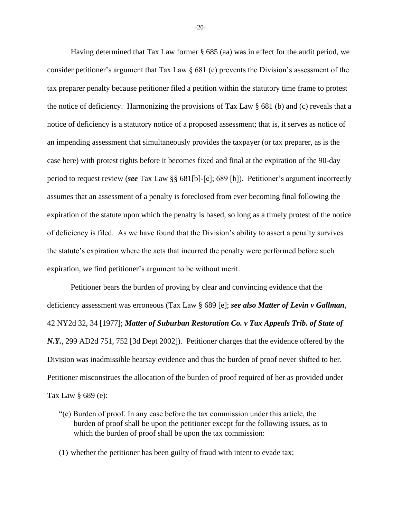Having determined that Tax Law former § 685 (aa) was in effect for the audit period, we consider petitioner's argument that Tax Law  $\S 681$  (c) prevents the Division's assessment of the tax preparer penalty because petitioner filed a petition within the statutory time frame to protest the notice of deficiency. Harmonizing the provisions of Tax Law § 681 (b) and (c) reveals that a notice of deficiency is a statutory notice of a proposed assessment; that is, it serves as notice of an impending assessment that simultaneously provides the taxpayer (or tax preparer, as is the case here) with protest rights before it becomes fixed and final at the expiration of the 90-day period to request review (*see* Tax Law §§ 681[b]-[c]; 689 [b]). Petitioner's argument incorrectly assumes that an assessment of a penalty is foreclosed from ever becoming final following the expiration of the statute upon which the penalty is based, so long as a timely protest of the notice of deficiency is filed. As we have found that the Division's ability to assert a penalty survives the statute's expiration where the acts that incurred the penalty were performed before such expiration, we find petitioner's argument to be without merit.

Petitioner bears the burden of proving by clear and convincing evidence that the deficiency assessment was erroneous (Tax Law § 689 [e]; *see also Matter of Levin v Gallman*, 42 NY2d 32, 34 [1977]; *Matter of Suburban Restoration Co. v Tax Appeals Trib. of State of N.Y.*, 299 AD2d 751, 752 [3d Dept 2002]). Petitioner charges that the evidence offered by the Division was inadmissible hearsay evidence and thus the burden of proof never shifted to her. Petitioner misconstrues the allocation of the burden of proof required of her as provided under Tax Law § 689 (e):

- "(e) Burden of proof. In any case before the tax commission under this article, the burden of proof shall be upon the petitioner except for the following issues, as to which the burden of proof shall be upon the tax commission:
- (1) whether the petitioner has been guilty of fraud with intent to evade tax;

-20-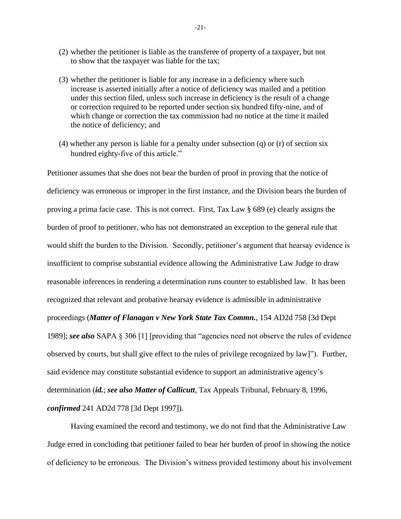- (2) whether the petitioner is liable as the transferee of property of a taxpayer, but not to show that the taxpayer was liable for the tax;
- (3) whether the petitioner is liable for any increase in a deficiency where such increase is asserted initially after a notice of deficiency was mailed and a petition under this section filed, unless such increase in deficiency is the result of a change or correction required to be reported under section six hundred fifty-nine, and of which change or correction the tax commission had no notice at the time it mailed the notice of deficiency; and
- (4) whether any person is liable for a penalty under subsection (q) or (r) of section six hundred eighty-five of this article."

Petitioner assumes that she does not bear the burden of proof in proving that the notice of deficiency was erroneous or improper in the first instance, and the Division bears the burden of proving a prima facie case. This is not correct. First, Tax Law § 689 (e) clearly assigns the burden of proof to petitioner, who has not demonstrated an exception to the general rule that would shift the burden to the Division. Secondly, petitioner's argument that hearsay evidence is insufficient to comprise substantial evidence allowing the Administrative Law Judge to draw reasonable inferences in rendering a determination runs counter to established law. It has been recognized that relevant and probative hearsay evidence is admissible in administrative proceedings (*Matter of Flanagan v New York State Tax Commn.*, 154 AD2d 758 [3d Dept 1989]; *see also* SAPA § 306 [1] [providing that "agencies need not observe the rules of evidence observed by courts, but shall give effect to the rules of privilege recognized by law]"). Further, said evidence may constitute substantial evidence to support an administrative agency's determination (*id.*; *see also Matter of Callicutt*, Tax Appeals Tribunal, February 8, 1996, *confirmed* 241 AD2d 778 [3d Dept 1997]).

Having examined the record and testimony, we do not find that the Administrative Law Judge erred in concluding that petitioner failed to bear her burden of proof in showing the notice of deficiency to be erroneous. The Division's witness provided testimony about his involvement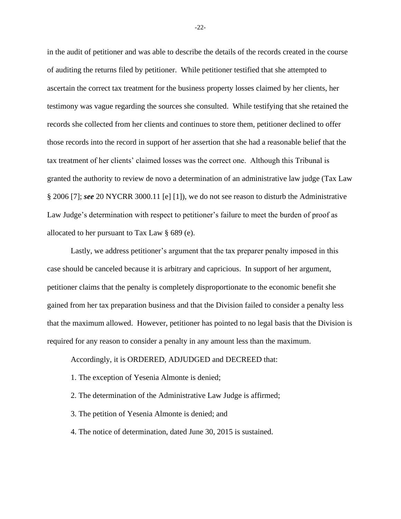in the audit of petitioner and was able to describe the details of the records created in the course of auditing the returns filed by petitioner. While petitioner testified that she attempted to ascertain the correct tax treatment for the business property losses claimed by her clients, her testimony was vague regarding the sources she consulted. While testifying that she retained the records she collected from her clients and continues to store them, petitioner declined to offer those records into the record in support of her assertion that she had a reasonable belief that the tax treatment of her clients' claimed losses was the correct one. Although this Tribunal is granted the authority to review de novo a determination of an administrative law judge (Tax Law § 2006 [7]; *see* 20 NYCRR 3000.11 [e] [1]), we do not see reason to disturb the Administrative Law Judge's determination with respect to petitioner's failure to meet the burden of proof as allocated to her pursuant to Tax Law § 689 (e).

Lastly, we address petitioner's argument that the tax preparer penalty imposed in this case should be canceled because it is arbitrary and capricious. In support of her argument, petitioner claims that the penalty is completely disproportionate to the economic benefit she gained from her tax preparation business and that the Division failed to consider a penalty less that the maximum allowed. However, petitioner has pointed to no legal basis that the Division is required for any reason to consider a penalty in any amount less than the maximum.

### Accordingly, it is ORDERED, ADJUDGED and DECREED that:

1. The exception of Yesenia Almonte is denied;

2. The determination of the Administrative Law Judge is affirmed;

3. The petition of Yesenia Almonte is denied; and

4. The notice of determination, dated June 30, 2015 is sustained.

-22-